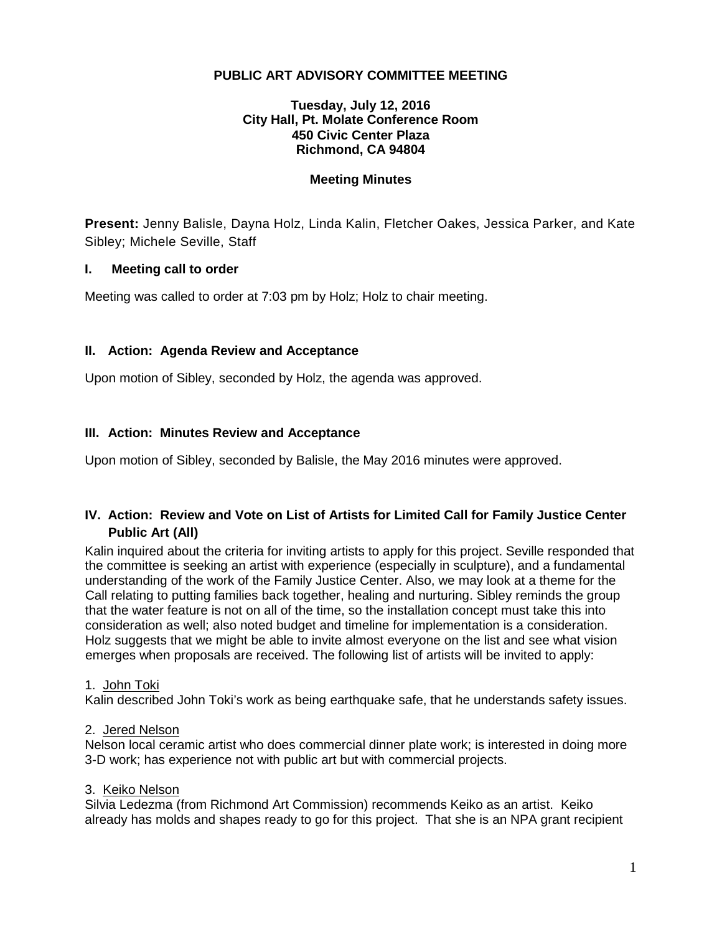## **PUBLIC ART ADVISORY COMMITTEE MEETING**

#### **Tuesday, July 12, 2016 City Hall, Pt. Molate Conference Room 450 Civic Center Plaza Richmond, CA 94804**

#### **Meeting Minutes**

**Present:** Jenny Balisle, Dayna Holz, Linda Kalin, Fletcher Oakes, Jessica Parker, and Kate Sibley; Michele Seville, Staff

#### **I. Meeting call to order**

Meeting was called to order at 7:03 pm by Holz; Holz to chair meeting.

## **II. Action: Agenda Review and Acceptance**

Upon motion of Sibley, seconded by Holz, the agenda was approved.

#### **III. Action: Minutes Review and Acceptance**

Upon motion of Sibley, seconded by Balisle, the May 2016 minutes were approved.

## **IV. Action: Review and Vote on List of Artists for Limited Call for Family Justice Center Public Art (All)**

Kalin inquired about the criteria for inviting artists to apply for this project. Seville responded that the committee is seeking an artist with experience (especially in sculpture), and a fundamental understanding of the work of the Family Justice Center. Also, we may look at a theme for the Call relating to putting families back together, healing and nurturing. Sibley reminds the group that the water feature is not on all of the time, so the installation concept must take this into consideration as well; also noted budget and timeline for implementation is a consideration. Holz suggests that we might be able to invite almost everyone on the list and see what vision emerges when proposals are received. The following list of artists will be invited to apply:

## 1. John Toki

Kalin described John Toki's work as being earthquake safe, that he understands safety issues.

#### 2. Jered Nelson

Nelson local ceramic artist who does commercial dinner plate work; is interested in doing more 3-D work; has experience not with public art but with commercial projects.

#### 3. Keiko Nelson

Silvia Ledezma (from Richmond Art Commission) recommends Keiko as an artist. Keiko already has molds and shapes ready to go for this project. That she is an NPA grant recipient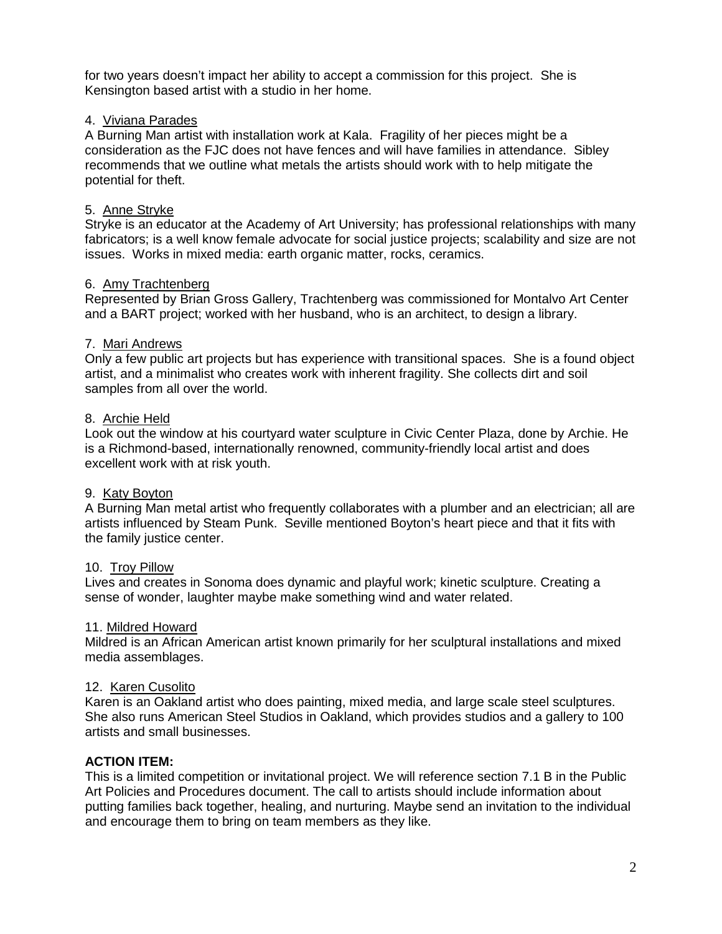for two years doesn't impact her ability to accept a commission for this project. She is Kensington based artist with a studio in her home.

## 4. Viviana Parades

A Burning Man artist with installation work at Kala. Fragility of her pieces might be a consideration as the FJC does not have fences and will have families in attendance. Sibley recommends that we outline what metals the artists should work with to help mitigate the potential for theft.

## 5. Anne Stryke

Stryke is an educator at the Academy of Art University; has professional relationships with many fabricators; is a well know female advocate for social justice projects; scalability and size are not issues. Works in mixed media: earth organic matter, rocks, ceramics.

## 6. Amy Trachtenberg

Represented by Brian Gross Gallery, Trachtenberg was commissioned for Montalvo Art Center and a BART project; worked with her husband, who is an architect, to design a library.

#### 7. Mari Andrews

Only a few public art projects but has experience with transitional spaces. She is a found object artist, and a minimalist who creates work with inherent fragility. She collects dirt and soil samples from all over the world.

#### 8. Archie Held

Look out the window at his courtyard water sculpture in Civic Center Plaza, done by Archie. He is a Richmond-based, internationally renowned, community-friendly local artist and does excellent work with at risk youth.

## 9. Katy Boyton

A Burning Man metal artist who frequently collaborates with a plumber and an electrician; all are artists influenced by Steam Punk. Seville mentioned Boyton's heart piece and that it fits with the family justice center.

## 10. Troy Pillow

Lives and creates in Sonoma does dynamic and playful work; kinetic sculpture. Creating a sense of wonder, laughter maybe make something wind and water related.

## 11. Mildred Howard

Mildred is an African American artist known primarily for her sculptural installations and mixed media assemblages.

## 12. Karen Cusolito

Karen is an Oakland artist who does painting, mixed media, and large scale steel sculptures. She also runs American Steel Studios in Oakland, which provides studios and a gallery to 100 artists and small businesses.

## **ACTION ITEM:**

This is a limited competition or invitational project. We will reference section 7.1 B in the Public Art Policies and Procedures document. The call to artists should include information about putting families back together, healing, and nurturing. Maybe send an invitation to the individual and encourage them to bring on team members as they like.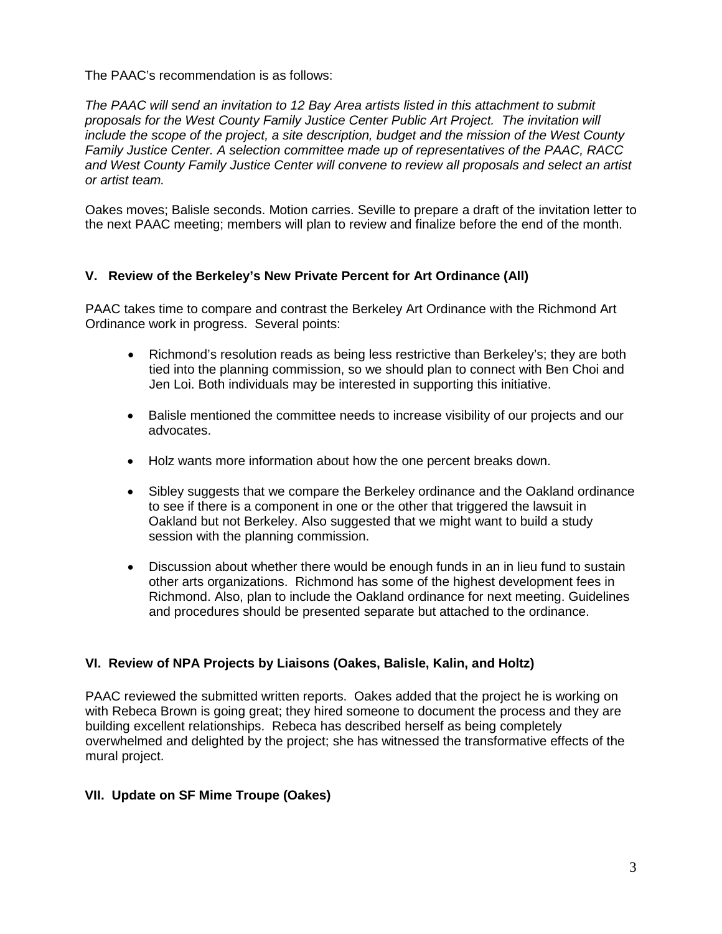The PAAC's recommendation is as follows:

*The PAAC will send an invitation to 12 Bay Area artists listed in this attachment to submit proposals for the West County Family Justice Center Public Art Project. The invitation will include the scope of the project, a site description, budget and the mission of the West County Family Justice Center. A selection committee made up of representatives of the PAAC, RACC and West County Family Justice Center will convene to review all proposals and select an artist or artist team.*

Oakes moves; Balisle seconds. Motion carries. Seville to prepare a draft of the invitation letter to the next PAAC meeting; members will plan to review and finalize before the end of the month.

## **V. Review of the Berkeley's New Private Percent for Art Ordinance (All)**

PAAC takes time to compare and contrast the Berkeley Art Ordinance with the Richmond Art Ordinance work in progress. Several points:

- Richmond's resolution reads as being less restrictive than Berkeley's; they are both tied into the planning commission, so we should plan to connect with Ben Choi and Jen Loi. Both individuals may be interested in supporting this initiative.
- Balisle mentioned the committee needs to increase visibility of our projects and our advocates.
- Holz wants more information about how the one percent breaks down.
- Sibley suggests that we compare the Berkeley ordinance and the Oakland ordinance to see if there is a component in one or the other that triggered the lawsuit in Oakland but not Berkeley. Also suggested that we might want to build a study session with the planning commission.
- Discussion about whether there would be enough funds in an in lieu fund to sustain other arts organizations. Richmond has some of the highest development fees in Richmond. Also, plan to include the Oakland ordinance for next meeting. Guidelines and procedures should be presented separate but attached to the ordinance.

## **VI. Review of NPA Projects by Liaisons (Oakes, Balisle, Kalin, and Holtz)**

PAAC reviewed the submitted written reports. Oakes added that the project he is working on with Rebeca Brown is going great; they hired someone to document the process and they are building excellent relationships. Rebeca has described herself as being completely overwhelmed and delighted by the project; she has witnessed the transformative effects of the mural project.

## **VII. Update on SF Mime Troupe (Oakes)**